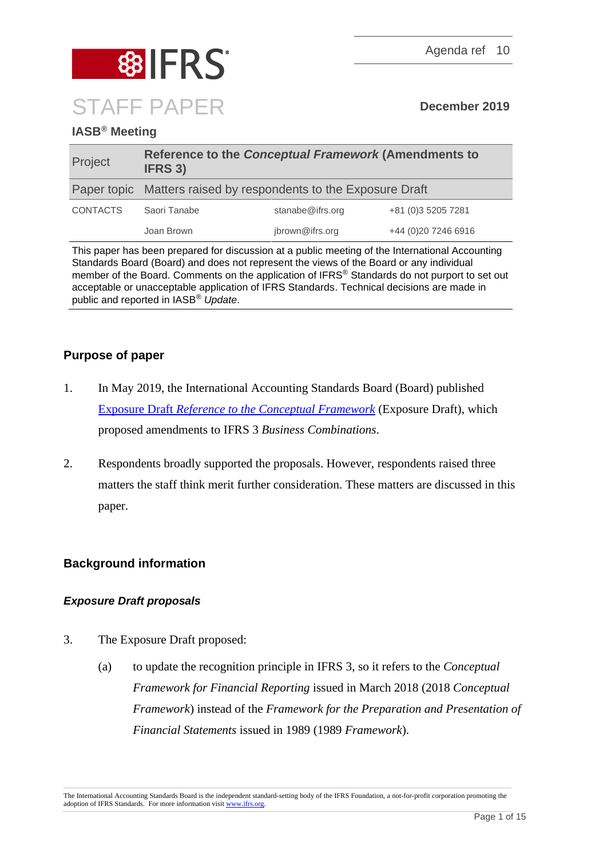

# **IASB® Meeting**

| Project         | Reference to the Conceptual Framework (Amendments to<br><b>IFRS 3)</b> |                  |                      |
|-----------------|------------------------------------------------------------------------|------------------|----------------------|
|                 | Paper topic Matters raised by respondents to the Exposure Draft        |                  |                      |
| <b>CONTACTS</b> | Saori Tanabe                                                           | stanabe@ifrs.org | +81 (0)3 5205 7281   |
|                 | Joan Brown                                                             | jbrown@ifrs.org  | +44 (0) 20 7246 6916 |

This paper has been prepared for discussion at a public meeting of the International Accounting Standards Board (Board) and does not represent the views of the Board or any individual member of the Board. Comments on the application of IFRS® Standards do not purport to set out acceptable or unacceptable application of IFRS Standards. Technical decisions are made in public and reported in IASB® *Update*.

# **Purpose of paper**

- 1. In May 2019, the International Accounting Standards Board (Board) published Exposure Draft *[Reference to the Conceptual Framework](https://www.ifrs.org/-/media/project/updating-a-reference-to-the-conceptual-framework-amendments-to-ifrs-3/exposure-draft/exposure-draft-reference-to-the-conceptual-framework-ifrs-3.pdf)* (Exposure Draft), which proposed amendments to IFRS 3 *Business Combinations*.
- 2. Respondents broadly supported the proposals. However, respondents raised three matters the staff think merit further consideration. These matters are discussed in this paper.

# **Background information**

# *Exposure Draft proposals*

- 3. The Exposure Draft proposed:
	- (a) to update the recognition principle in IFRS 3, so it refers to the *Conceptual Framework for Financial Reporting* issued in March 2018 (2018 *Conceptual Framework*) instead of the *Framework for the Preparation and Presentation of Financial Statements* issued in 1989 (1989 *Framework*).

The International Accounting Standards Board is the independent standard-setting body of the IFRS Foundation, a not-for-profit corporation promoting the adoption of IFRS Standards. For more information visit [www.ifrs.org.](http://www.ifrs.org/)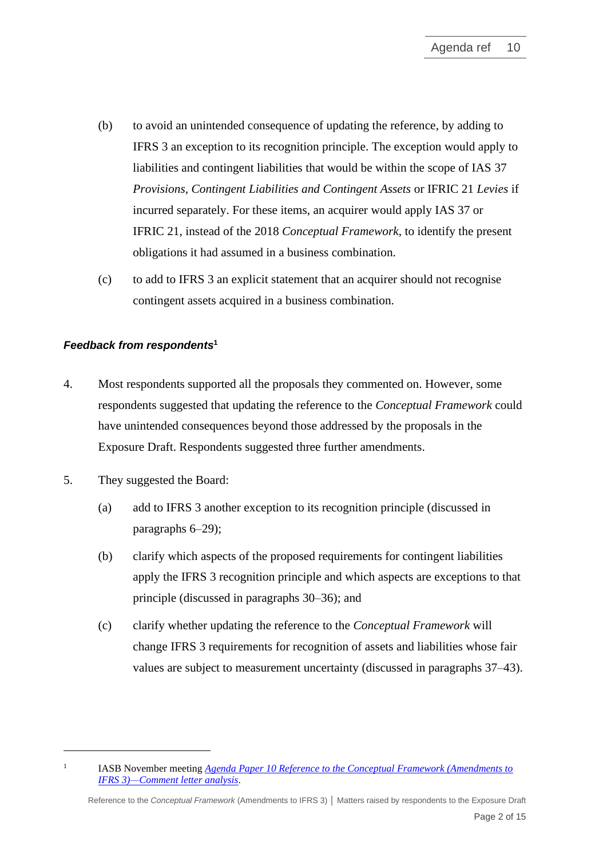- (b) to avoid an unintended consequence of updating the reference, by adding to IFRS 3 an exception to its recognition principle. The exception would apply to liabilities and contingent liabilities that would be within the scope of IAS 37 *Provisions, Contingent Liabilities and Contingent Assets* or IFRIC 21 *Levies* if incurred separately. For these items, an acquirer would apply IAS 37 or IFRIC 21, instead of the 2018 *Conceptual Framework*, to identify the present obligations it had assumed in a business combination.
- (c) to add to IFRS 3 an explicit statement that an acquirer should not recognise contingent assets acquired in a business combination.

## *Feedback from respondents***<sup>1</sup>**

- 4. Most respondents supported all the proposals they commented on. However, some respondents suggested that updating the reference to the *Conceptual Framework* could have unintended consequences beyond those addressed by the proposals in the Exposure Draft. Respondents suggested three further amendments.
- 5. They suggested the Board:

1

- (a) add to IFRS 3 another exception to its recognition principle (discussed in paragraphs [6](#page-2-0)[–29\)](#page-9-0);
- (b) clarify which aspects of the proposed requirements for contingent liabilities apply the IFRS 3 recognition principle and which aspects are exceptions to that principle (discussed in paragraphs [30–](#page-10-0)[36\)](#page-12-0); and
- (c) clarify whether updating the reference to the *Conceptual Framework* will change IFRS 3 requirements for recognition of assets and liabilities whose fair values are subject to measurement uncertainty (discussed in paragraphs [37–](#page-12-1)[43\)](#page-14-0).

IASB November meeting *[Agenda Paper 10 Reference to the Conceptual Framework \(Amendments to](https://www.ifrs.org/-/media/feature/meetings/2019/november/iasb/ap10-conceptual-framework.pdf)  [IFRS 3\)—Comment letter analysis](https://www.ifrs.org/-/media/feature/meetings/2019/november/iasb/ap10-conceptual-framework.pdf)*.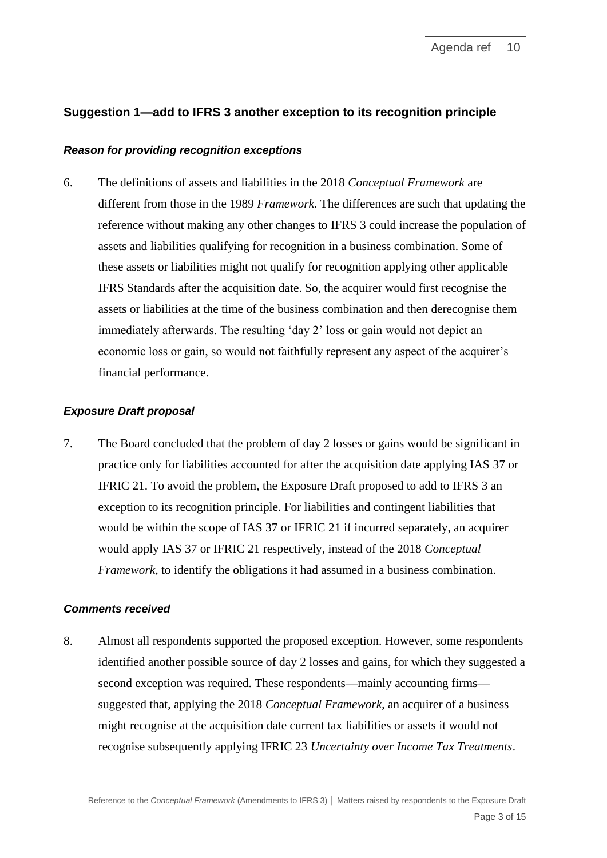# **Suggestion 1—add to IFRS 3 another exception to its recognition principle**

#### *Reason for providing recognition exceptions*

<span id="page-2-0"></span>6. The definitions of assets and liabilities in the 2018 *Conceptual Framework* are different from those in the 1989 *Framework*. The differences are such that updating the reference without making any other changes to IFRS 3 could increase the population of assets and liabilities qualifying for recognition in a business combination. Some of these assets or liabilities might not qualify for recognition applying other applicable IFRS Standards after the acquisition date. So, the acquirer would first recognise the assets or liabilities at the time of the business combination and then derecognise them immediately afterwards. The resulting 'day 2' loss or gain would not depict an economic loss or gain, so would not faithfully represent any aspect of the acquirer's financial performance.

### *Exposure Draft proposal*

7. The Board concluded that the problem of day 2 losses or gains would be significant in practice only for liabilities accounted for after the acquisition date applying IAS 37 or IFRIC 21. To avoid the problem, the Exposure Draft proposed to add to IFRS 3 an exception to its recognition principle. For liabilities and contingent liabilities that would be within the scope of IAS 37 or IFRIC 21 if incurred separately, an acquirer would apply IAS 37 or IFRIC 21 respectively, instead of the 2018 *Conceptual Framework*, to identify the obligations it had assumed in a business combination.

#### *Comments received*

8. Almost all respondents supported the proposed exception. However, some respondents identified another possible source of day 2 losses and gains, for which they suggested a second exception was required. These respondents—mainly accounting firms suggested that, applying the 2018 *Conceptual Framework*, an acquirer of a business might recognise at the acquisition date current tax liabilities or assets it would not recognise subsequently applying IFRIC 23 *Uncertainty over Income Tax Treatments*.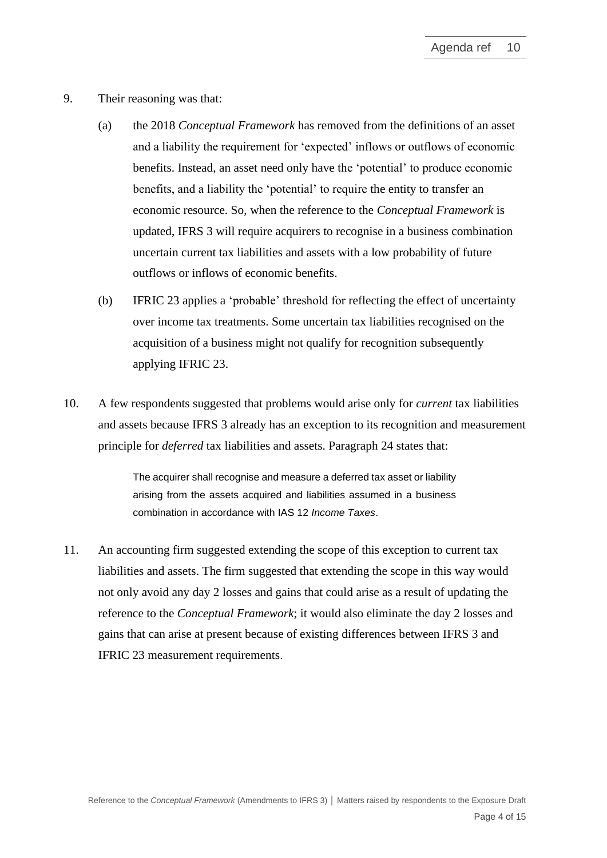- 9. Their reasoning was that:
	- (a) the 2018 *Conceptual Framework* has removed from the definitions of an asset and a liability the requirement for 'expected' inflows or outflows of economic benefits. Instead, an asset need only have the 'potential' to produce economic benefits, and a liability the 'potential' to require the entity to transfer an economic resource. So, when the reference to the *Conceptual Framework* is updated, IFRS 3 will require acquirers to recognise in a business combination uncertain current tax liabilities and assets with a low probability of future outflows or inflows of economic benefits.
	- (b) IFRIC 23 applies a 'probable' threshold for reflecting the effect of uncertainty over income tax treatments. Some uncertain tax liabilities recognised on the acquisition of a business might not qualify for recognition subsequently applying IFRIC 23.
- <span id="page-3-0"></span>10. A few respondents suggested that problems would arise only for *current* tax liabilities and assets because IFRS 3 already has an exception to its recognition and measurement principle for *deferred* tax liabilities and assets. Paragraph 24 states that:

The acquirer shall recognise and measure a deferred tax asset or liability arising from the assets acquired and liabilities assumed in a business combination in accordance with IAS 12 *Income Taxes*.

<span id="page-3-1"></span>11. An accounting firm suggested extending the scope of this exception to current tax liabilities and assets. The firm suggested that extending the scope in this way would not only avoid any day 2 losses and gains that could arise as a result of updating the reference to the *Conceptual Framework*; it would also eliminate the day 2 losses and gains that can arise at present because of existing differences between IFRS 3 and IFRIC 23 measurement requirements.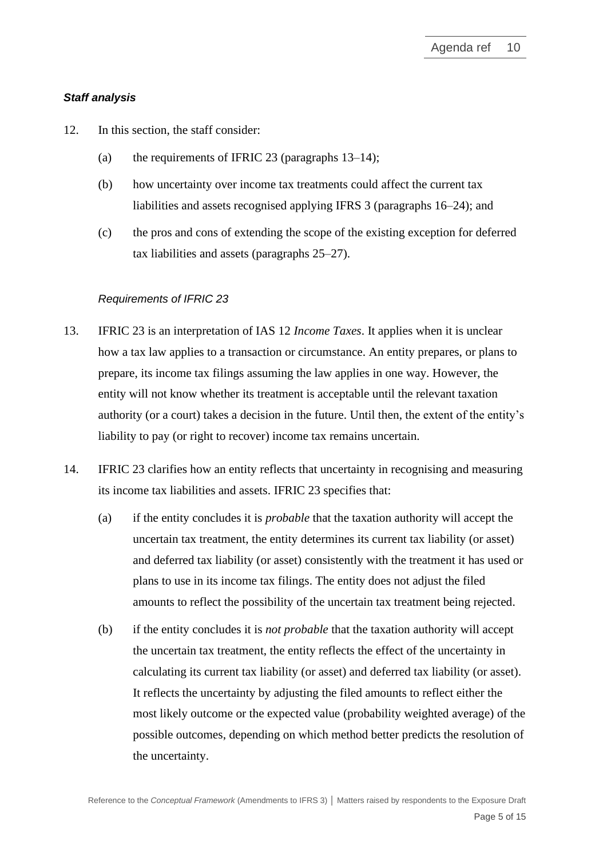### *Staff analysis*

- 12. In this section, the staff consider:
	- (a) the requirements of IFRIC 23 (paragraphs  $13-14$ );
	- (b) how uncertainty over income tax treatments could affect the current tax liabilities and assets recognised applying IFRS 3 (paragraphs [16–](#page-5-0)[24\)](#page-8-0); and
	- (c) the pros and cons of extending the scope of the existing exception for deferred tax liabilities and assets (paragraphs [25](#page-8-1)[–27\)](#page-8-2).

## *Requirements of IFRIC 23*

- <span id="page-4-0"></span>13. IFRIC 23 is an interpretation of IAS 12 *Income Taxes*. It applies when it is unclear how a tax law applies to a transaction or circumstance. An entity prepares, or plans to prepare, its income tax filings assuming the law applies in one way. However, the entity will not know whether its treatment is acceptable until the relevant taxation authority (or a court) takes a decision in the future. Until then, the extent of the entity's liability to pay (or right to recover) income tax remains uncertain.
- <span id="page-4-1"></span>14. IFRIC 23 clarifies how an entity reflects that uncertainty in recognising and measuring its income tax liabilities and assets. IFRIC 23 specifies that:
	- (a) if the entity concludes it is *probable* that the taxation authority will accept the uncertain tax treatment, the entity determines its current tax liability (or asset) and deferred tax liability (or asset) consistently with the treatment it has used or plans to use in its income tax filings. The entity does not adjust the filed amounts to reflect the possibility of the uncertain tax treatment being rejected.
	- (b) if the entity concludes it is *not probable* that the taxation authority will accept the uncertain tax treatment, the entity reflects the effect of the uncertainty in calculating its current tax liability (or asset) and deferred tax liability (or asset). It reflects the uncertainty by adjusting the filed amounts to reflect either the most likely outcome or the expected value (probability weighted average) of the possible outcomes, depending on which method better predicts the resolution of the uncertainty.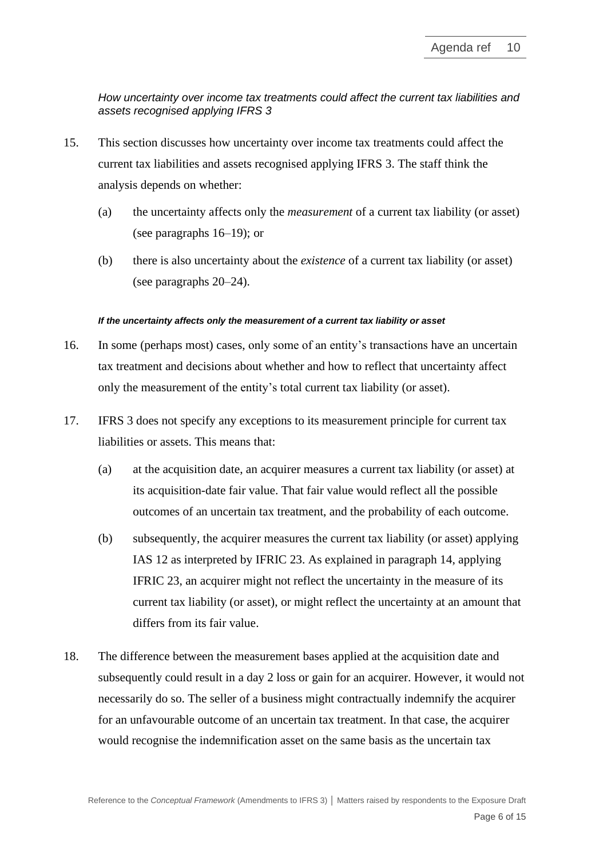*How uncertainty over income tax treatments could affect the current tax liabilities and assets recognised applying IFRS 3*

- 15. This section discusses how uncertainty over income tax treatments could affect the current tax liabilities and assets recognised applying IFRS 3. The staff think the analysis depends on whether:
	- (a) the uncertainty affects only the *measurement* of a current tax liability (or asset) (see paragraphs [16–](#page-5-0)[19\)](#page-6-0); or
	- (b) there is also uncertainty about the *existence* of a current tax liability (or asset) (see paragraphs [20–](#page-6-1)[24\)](#page-8-0).

#### *If the uncertainty affects only the measurement of a current tax liability or asset*

- <span id="page-5-0"></span>16. In some (perhaps most) cases, only some of an entity's transactions have an uncertain tax treatment and decisions about whether and how to reflect that uncertainty affect only the measurement of the entity's total current tax liability (or asset).
- 17. IFRS 3 does not specify any exceptions to its measurement principle for current tax liabilities or assets. This means that:
	- (a) at the acquisition date, an acquirer measures a current tax liability (or asset) at its acquisition-date fair value. That fair value would reflect all the possible outcomes of an uncertain tax treatment, and the probability of each outcome.
	- (b) subsequently, the acquirer measures the current tax liability (or asset) applying IAS 12 as interpreted by IFRIC 23. As explained in paragraph [14,](#page-4-1) applying IFRIC 23, an acquirer might not reflect the uncertainty in the measure of its current tax liability (or asset), or might reflect the uncertainty at an amount that differs from its fair value.
- 18. The difference between the measurement bases applied at the acquisition date and subsequently could result in a day 2 loss or gain for an acquirer. However, it would not necessarily do so. The seller of a business might contractually indemnify the acquirer for an unfavourable outcome of an uncertain tax treatment. In that case, the acquirer would recognise the indemnification asset on the same basis as the uncertain tax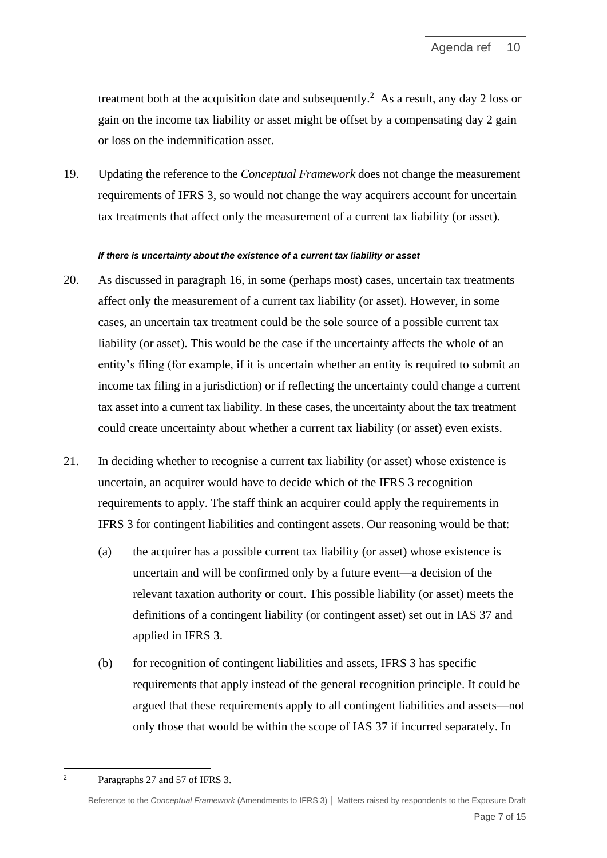treatment both at the acquisition date and subsequently.<sup>2</sup> As a result, any day 2 loss or gain on the income tax liability or asset might be offset by a compensating day 2 gain or loss on the indemnification asset.

<span id="page-6-0"></span>19. Updating the reference to the *Conceptual Framework* does not change the measurement requirements of IFRS 3, so would not change the way acquirers account for uncertain tax treatments that affect only the measurement of a current tax liability (or asset).

#### *If there is uncertainty about the existence of a current tax liability or asset*

- <span id="page-6-1"></span>20. As discussed in paragraph [16,](#page-5-0) in some (perhaps most) cases, uncertain tax treatments affect only the measurement of a current tax liability (or asset). However, in some cases, an uncertain tax treatment could be the sole source of a possible current tax liability (or asset). This would be the case if the uncertainty affects the whole of an entity's filing (for example, if it is uncertain whether an entity is required to submit an income tax filing in a jurisdiction) or if reflecting the uncertainty could change a current tax asset into a current tax liability. In these cases, the uncertainty about the tax treatment could create uncertainty about whether a current tax liability (or asset) even exists.
- 21. In deciding whether to recognise a current tax liability (or asset) whose existence is uncertain, an acquirer would have to decide which of the IFRS 3 recognition requirements to apply. The staff think an acquirer could apply the requirements in IFRS 3 for contingent liabilities and contingent assets. Our reasoning would be that:
	- (a) the acquirer has a possible current tax liability (or asset) whose existence is uncertain and will be confirmed only by a future event—a decision of the relevant taxation authority or court. This possible liability (or asset) meets the definitions of a contingent liability (or contingent asset) set out in IAS 37 and applied in IFRS 3.
	- (b) for recognition of contingent liabilities and assets, IFRS 3 has specific requirements that apply instead of the general recognition principle. It could be argued that these requirements apply to all contingent liabilities and assets—not only those that would be within the scope of IAS 37 if incurred separately. In

<sup>2</sup> Paragraphs 27 and 57 of IFRS 3.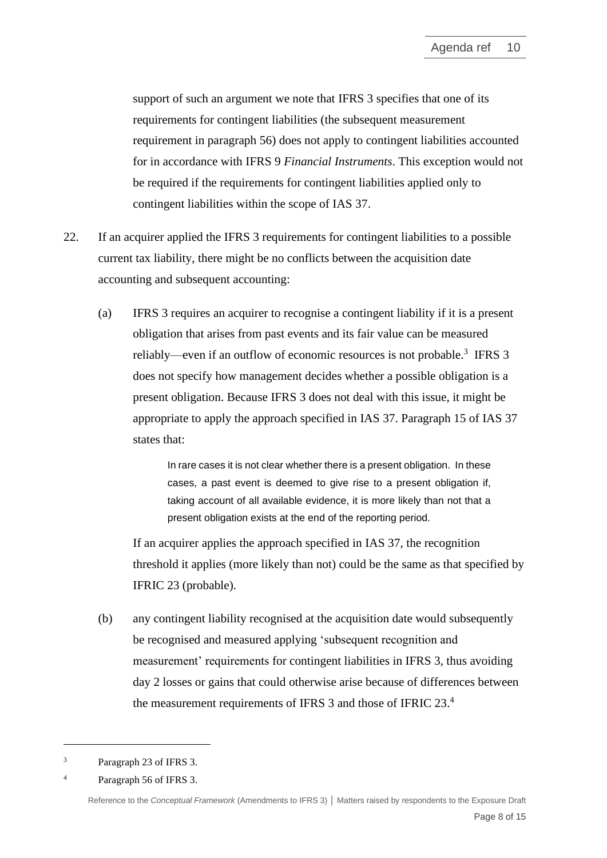support of such an argument we note that IFRS 3 specifies that one of its requirements for contingent liabilities (the subsequent measurement requirement in paragraph 56) does not apply to contingent liabilities accounted for in accordance with IFRS 9 *Financial Instruments*. This exception would not be required if the requirements for contingent liabilities applied only to contingent liabilities within the scope of IAS 37.

- 22. If an acquirer applied the IFRS 3 requirements for contingent liabilities to a possible current tax liability, there might be no conflicts between the acquisition date accounting and subsequent accounting:
	- (a) IFRS 3 requires an acquirer to recognise a contingent liability if it is a present obligation that arises from past events and its fair value can be measured reliably—even if an outflow of economic resources is not probable.<sup>3</sup> IFRS 3 does not specify how management decides whether a possible obligation is a present obligation. Because IFRS 3 does not deal with this issue, it might be appropriate to apply the approach specified in IAS 37. Paragraph 15 of IAS 37 states that:

In rare cases it is not clear whether there is a present obligation. In these cases, a past event is deemed to give rise to a present obligation if, taking account of all available evidence, it is more likely than not that a present obligation exists at the end of the reporting period.

If an acquirer applies the approach specified in IAS 37, the recognition threshold it applies (more likely than not) could be the same as that specified by IFRIC 23 (probable).

(b) any contingent liability recognised at the acquisition date would subsequently be recognised and measured applying 'subsequent recognition and measurement' requirements for contingent liabilities in IFRS 3, thus avoiding day 2 losses or gains that could otherwise arise because of differences between the measurement requirements of IFRS 3 and those of IFRIC 23.4

<sup>3</sup> Paragraph 23 of IFRS 3.

<sup>4</sup> Paragraph 56 of IFRS 3.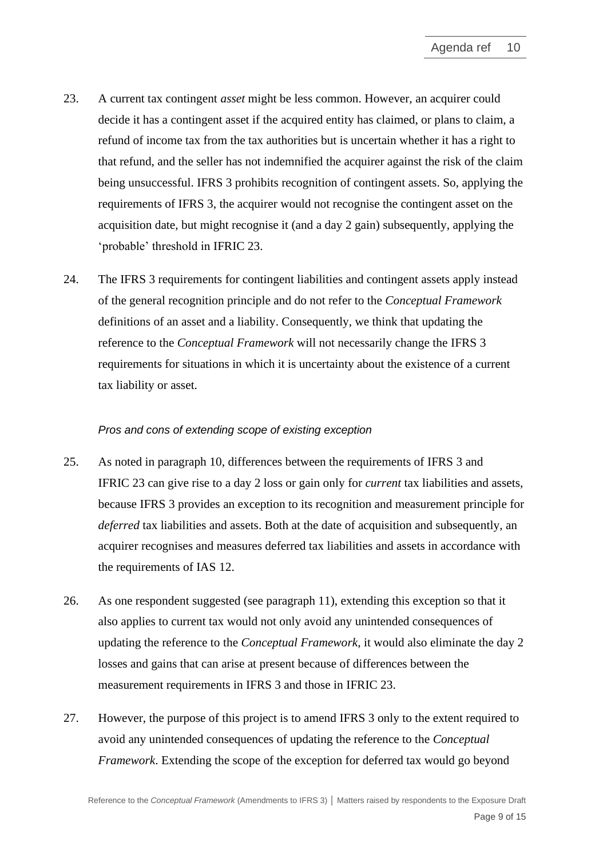- 23. A current tax contingent *asset* might be less common. However, an acquirer could decide it has a contingent asset if the acquired entity has claimed, or plans to claim, a refund of income tax from the tax authorities but is uncertain whether it has a right to that refund, and the seller has not indemnified the acquirer against the risk of the claim being unsuccessful. IFRS 3 prohibits recognition of contingent assets. So, applying the requirements of IFRS 3, the acquirer would not recognise the contingent asset on the acquisition date, but might recognise it (and a day 2 gain) subsequently, applying the 'probable' threshold in IFRIC 23.
- <span id="page-8-0"></span>24. The IFRS 3 requirements for contingent liabilities and contingent assets apply instead of the general recognition principle and do not refer to the *Conceptual Framework* definitions of an asset and a liability. Consequently, we think that updating the reference to the *Conceptual Framework* will not necessarily change the IFRS 3 requirements for situations in which it is uncertainty about the existence of a current tax liability or asset.

### *Pros and cons of extending scope of existing exception*

- <span id="page-8-1"></span>25. As noted in paragraph [10,](#page-3-0) differences between the requirements of IFRS 3 and IFRIC 23 can give rise to a day 2 loss or gain only for *current* tax liabilities and assets, because IFRS 3 provides an exception to its recognition and measurement principle for *deferred* tax liabilities and assets. Both at the date of acquisition and subsequently, an acquirer recognises and measures deferred tax liabilities and assets in accordance with the requirements of IAS 12.
- 26. As one respondent suggested (see paragraph [11\)](#page-3-1), extending this exception so that it also applies to current tax would not only avoid any unintended consequences of updating the reference to the *Conceptual Framework*, it would also eliminate the day 2 losses and gains that can arise at present because of differences between the measurement requirements in IFRS 3 and those in IFRIC 23.
- <span id="page-8-2"></span>27. However, the purpose of this project is to amend IFRS 3 only to the extent required to avoid any unintended consequences of updating the reference to the *Conceptual Framework*. Extending the scope of the exception for deferred tax would go beyond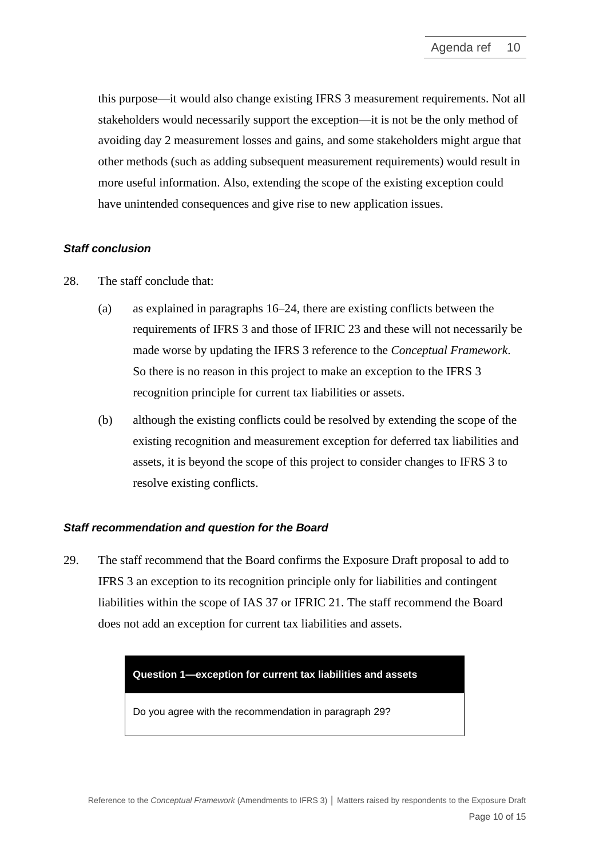this purpose—it would also change existing IFRS 3 measurement requirements. Not all stakeholders would necessarily support the exception—it is not be the only method of avoiding day 2 measurement losses and gains, and some stakeholders might argue that other methods (such as adding subsequent measurement requirements) would result in more useful information. Also, extending the scope of the existing exception could have unintended consequences and give rise to new application issues.

### *Staff conclusion*

- 28. The staff conclude that:
	- (a) as explained in paragraphs [16](#page-5-0)[–24,](#page-8-0) there are existing conflicts between the requirements of IFRS 3 and those of IFRIC 23 and these will not necessarily be made worse by updating the IFRS 3 reference to the *Conceptual Framework*. So there is no reason in this project to make an exception to the IFRS 3 recognition principle for current tax liabilities or assets.
	- (b) although the existing conflicts could be resolved by extending the scope of the existing recognition and measurement exception for deferred tax liabilities and assets, it is beyond the scope of this project to consider changes to IFRS 3 to resolve existing conflicts.

### *Staff recommendation and question for the Board*

<span id="page-9-0"></span>29. The staff recommend that the Board confirms the Exposure Draft proposal to add to IFRS 3 an exception to its recognition principle only for liabilities and contingent liabilities within the scope of IAS 37 or IFRIC 21. The staff recommend the Board does not add an exception for current tax liabilities and assets.

### **Question 1—exception for current tax liabilities and assets**

Do you agree with the recommendation in paragraph [29?](#page-9-0)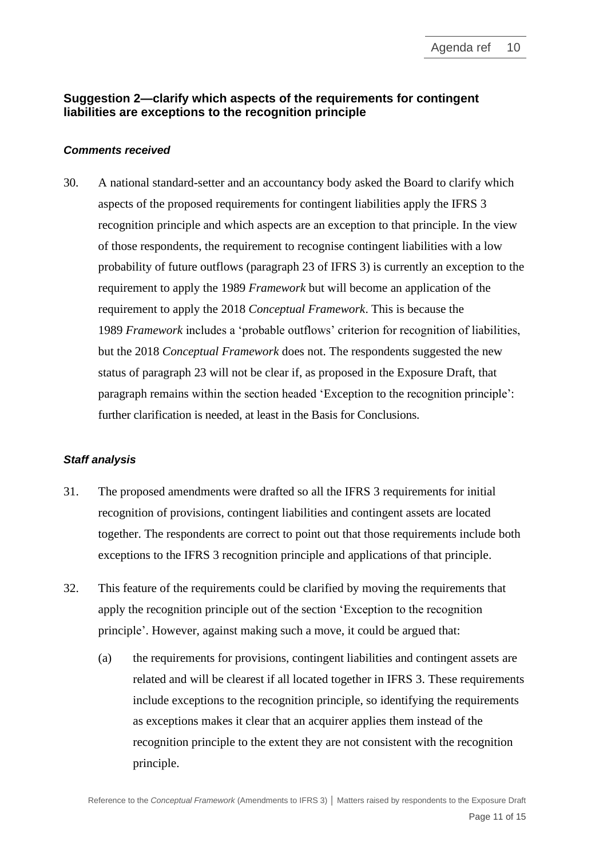# **Suggestion 2—clarify which aspects of the requirements for contingent liabilities are exceptions to the recognition principle**

#### *Comments received*

<span id="page-10-0"></span>30. A national standard-setter and an accountancy body asked the Board to clarify which aspects of the proposed requirements for contingent liabilities apply the IFRS 3 recognition principle and which aspects are an exception to that principle. In the view of those respondents, the requirement to recognise contingent liabilities with a low probability of future outflows (paragraph 23 of IFRS 3) is currently an exception to the requirement to apply the 1989 *Framework* but will become an application of the requirement to apply the 2018 *Conceptual Framework*. This is because the 1989 *Framework* includes a 'probable outflows' criterion for recognition of liabilities, but the 2018 *Conceptual Framework* does not. The respondents suggested the new status of paragraph 23 will not be clear if, as proposed in the Exposure Draft, that paragraph remains within the section headed 'Exception to the recognition principle': further clarification is needed, at least in the Basis for Conclusions.

#### *Staff analysis*

- 31. The proposed amendments were drafted so all the IFRS 3 requirements for initial recognition of provisions, contingent liabilities and contingent assets are located together. The respondents are correct to point out that those requirements include both exceptions to the IFRS 3 recognition principle and applications of that principle.
- <span id="page-10-1"></span>32. This feature of the requirements could be clarified by moving the requirements that apply the recognition principle out of the section 'Exception to the recognition principle'. However, against making such a move, it could be argued that:
	- (a) the requirements for provisions, contingent liabilities and contingent assets are related and will be clearest if all located together in IFRS 3. These requirements include exceptions to the recognition principle, so identifying the requirements as exceptions makes it clear that an acquirer applies them instead of the recognition principle to the extent they are not consistent with the recognition principle.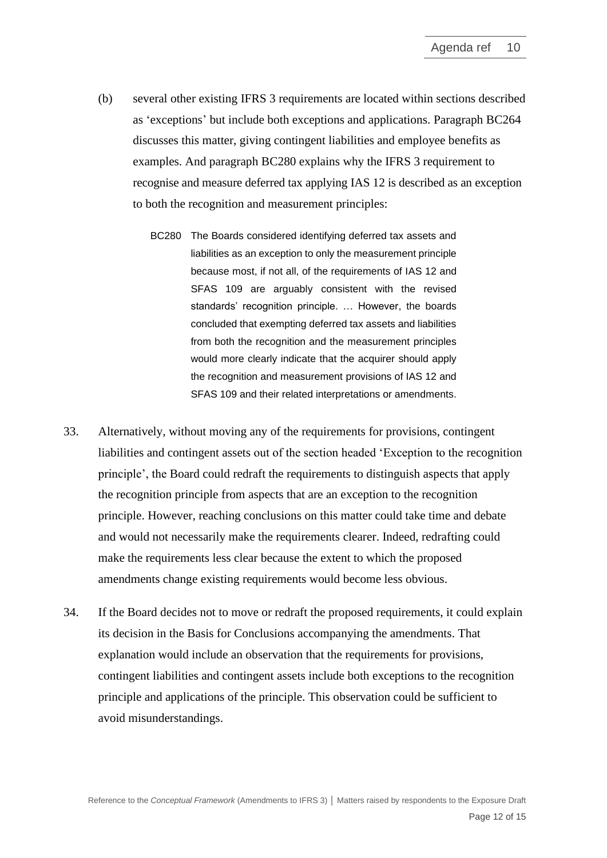- (b) several other existing IFRS 3 requirements are located within sections described as 'exceptions' but include both exceptions and applications. Paragraph BC264 discusses this matter, giving contingent liabilities and employee benefits as examples. And paragraph BC280 explains why the IFRS 3 requirement to recognise and measure deferred tax applying IAS 12 is described as an exception to both the recognition and measurement principles:
	- BC280 The Boards considered identifying deferred tax assets and liabilities as an exception to only the measurement principle because most, if not all, of the requirements of IAS 12 and SFAS 109 are arguably consistent with the revised standards' recognition principle. … However, the boards concluded that exempting deferred tax assets and liabilities from both the recognition and the measurement principles would more clearly indicate that the acquirer should apply the recognition and measurement provisions of IAS 12 and SFAS 109 and their related interpretations or amendments.
- <span id="page-11-0"></span>33. Alternatively, without moving any of the requirements for provisions, contingent liabilities and contingent assets out of the section headed 'Exception to the recognition principle', the Board could redraft the requirements to distinguish aspects that apply the recognition principle from aspects that are an exception to the recognition principle. However, reaching conclusions on this matter could take time and debate and would not necessarily make the requirements clearer. Indeed, redrafting could make the requirements less clear because the extent to which the proposed amendments change existing requirements would become less obvious.
- 34. If the Board decides not to move or redraft the proposed requirements, it could explain its decision in the Basis for Conclusions accompanying the amendments. That explanation would include an observation that the requirements for provisions, contingent liabilities and contingent assets include both exceptions to the recognition principle and applications of the principle. This observation could be sufficient to avoid misunderstandings.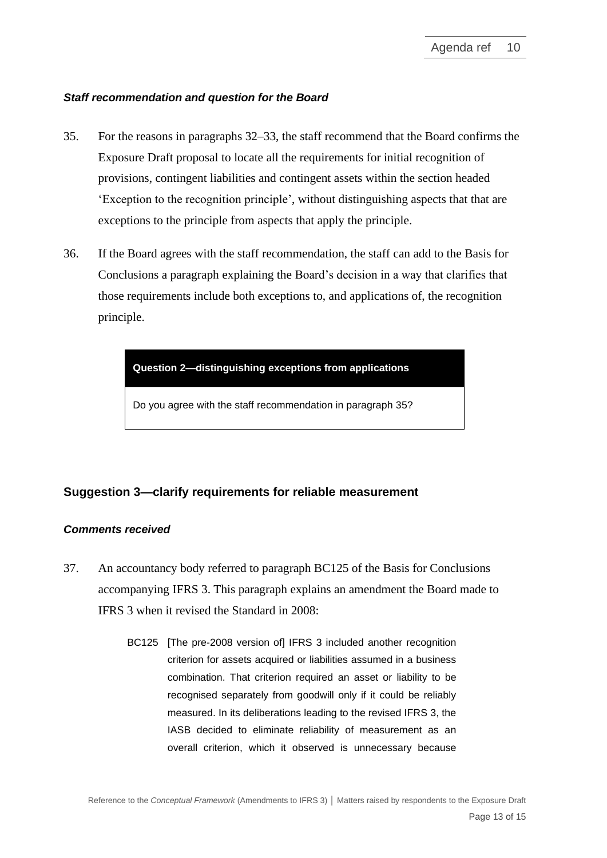#### *Staff recommendation and question for the Board*

- <span id="page-12-2"></span>35. For the reasons in paragraphs [32](#page-10-1)[–33,](#page-11-0) the staff recommend that the Board confirms the Exposure Draft proposal to locate all the requirements for initial recognition of provisions, contingent liabilities and contingent assets within the section headed 'Exception to the recognition principle', without distinguishing aspects that that are exceptions to the principle from aspects that apply the principle.
- <span id="page-12-0"></span>36. If the Board agrees with the staff recommendation, the staff can add to the Basis for Conclusions a paragraph explaining the Board's decision in a way that clarifies that those requirements include both exceptions to, and applications of, the recognition principle.



Do you agree with the staff recommendation in paragraph [35?](#page-12-2)

# **Suggestion 3—clarify requirements for reliable measurement**

#### *Comments received*

- <span id="page-12-1"></span>37. An accountancy body referred to paragraph BC125 of the Basis for Conclusions accompanying IFRS 3. This paragraph explains an amendment the Board made to IFRS 3 when it revised the Standard in 2008:
	- BC125 [The pre-2008 version of IFRS 3 included another recognition] criterion for assets acquired or liabilities assumed in a business combination. That criterion required an asset or liability to be recognised separately from goodwill only if it could be reliably measured. In its deliberations leading to the revised IFRS 3, the IASB decided to eliminate reliability of measurement as an overall criterion, which it observed is unnecessary because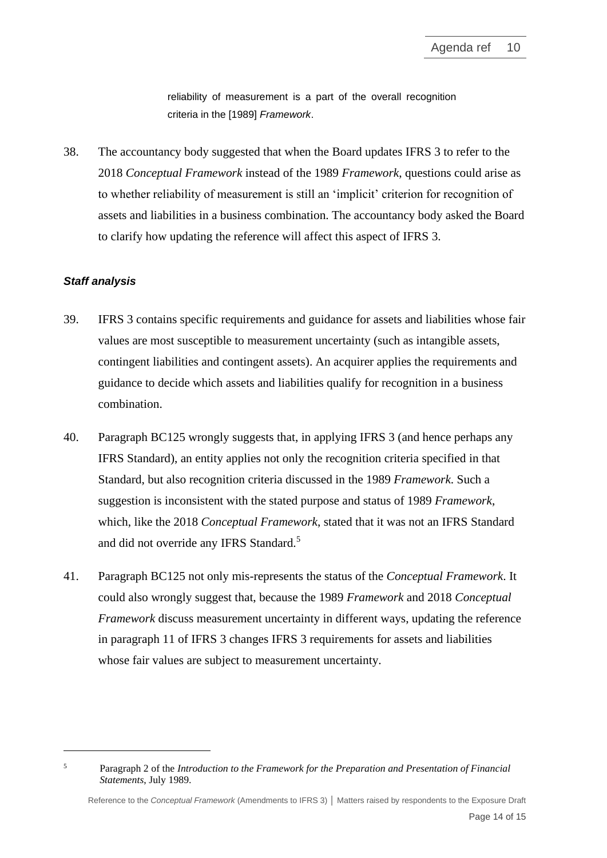reliability of measurement is a part of the overall recognition criteria in the [1989] *Framework*.

38. The accountancy body suggested that when the Board updates IFRS 3 to refer to the 2018 *Conceptual Framework* instead of the 1989 *Framework*, questions could arise as to whether reliability of measurement is still an 'implicit' criterion for recognition of assets and liabilities in a business combination. The accountancy body asked the Board to clarify how updating the reference will affect this aspect of IFRS 3.

#### *Staff analysis*

- 39. IFRS 3 contains specific requirements and guidance for assets and liabilities whose fair values are most susceptible to measurement uncertainty (such as intangible assets, contingent liabilities and contingent assets). An acquirer applies the requirements and guidance to decide which assets and liabilities qualify for recognition in a business combination.
- 40. Paragraph BC125 wrongly suggests that, in applying IFRS 3 (and hence perhaps any IFRS Standard), an entity applies not only the recognition criteria specified in that Standard, but also recognition criteria discussed in the 1989 *Framework*. Such a suggestion is inconsistent with the stated purpose and status of 1989 *Framework*, which, like the 2018 *Conceptual Framework*, stated that it was not an IFRS Standard and did not override any IFRS Standard.<sup>5</sup>
- 41. Paragraph BC125 not only mis-represents the status of the *Conceptual Framework*. It could also wrongly suggest that, because the 1989 *Framework* and 2018 *Conceptual Framework* discuss measurement uncertainty in different ways, updating the reference in paragraph 11 of IFRS 3 changes IFRS 3 requirements for assets and liabilities whose fair values are subject to measurement uncertainty.

<sup>5</sup> Paragraph 2 of the *Introduction to the Framework for the Preparation and Presentation of Financial Statements*, July 1989.